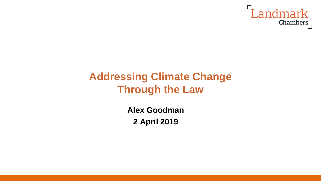

# **Addressing Climate Change Through the Law**

**Alex Goodman 2 April 2019**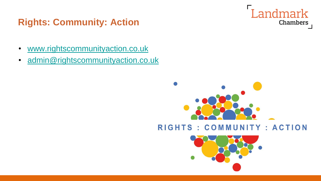## **Rights: Community: Action**

- [www.rightscommunityaction.co.uk](http://www.rightscommunityaction.co.uk/)
- [admin@rightscommunityaction.co.uk](mailto:admin@rightscommunityaction.co.uk)



Landmark

Chambers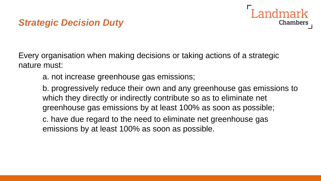### *Strategic Decision Duty*

Every organisation when making decisions or taking actions of a strategic nature must:

a. not increase greenhouse gas emissions;

b. progressively reduce their own and any greenhouse gas emissions to which they directly or indirectly contribute so as to eliminate net greenhouse gas emissions by at least 100% as soon as possible;

Chambers

c. have due regard to the need to eliminate net greenhouse gas emissions by at least 100% as soon as possible.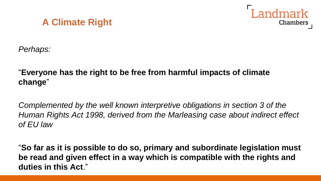



*Perhaps:*

#### "**Everyone has the right to be free from harmful impacts of climate change**"

*Complemented by the well known interpretive obligations in section 3 of the Human Rights Act 1998, derived from the Marleasing case about indirect effect of EU law*

"**So far as it is possible to do so, primary and subordinate legislation must be read and given effect in a way which is compatible with the rights and duties in this Act**."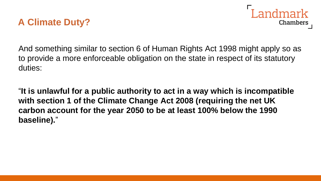### **A Climate Duty?**



And something similar to section 6 of Human Rights Act 1998 might apply so as to provide a more enforceable obligation on the state in respect of its statutory duties:

"**It is unlawful for a public authority to act in a way which is incompatible with section 1 of the Climate Change Act 2008 (requiring the net UK carbon account for the year 2050 to be at least 100% below the 1990 baseline).**"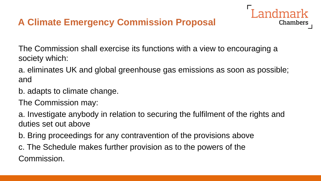## **A Climate Emergency Commission Proposal**

The Commission shall exercise its functions with a view to encouraging a society which:

a. eliminates UK and global greenhouse gas emissions as soon as possible; and

Chambers

b. adapts to climate change.

The Commission may:

a. Investigate anybody in relation to securing the fulfilment of the rights and duties set out above

b. Bring proceedings for any contravention of the provisions above

c. The Schedule makes further provision as to the powers of the Commission.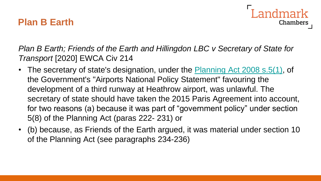#### **Plan B Earth**



*Plan B Earth; Friends of the Earth and Hillingdon LBC v Secretary of State for Transport* [2020] EWCA Civ 214

- The secretary of state's designation, under the **[Planning Act 2008 s.5\(1\)](https://uk.westlaw.com/Document/I853256B0C35811DDAA11A3CCA43B86C9/View/FullText.html?originationContext=document&transitionType=DocumentItem&contextData=(sc.Search))**, of the Government's "Airports National Policy Statement" favouring the development of a third runway at Heathrow airport, was unlawful. The secretary of state should have taken the 2015 Paris Agreement into account, for two reasons (a) because it was part of "government policy" under section 5(8) of the Planning Act (paras 222- 231) or
- (b) because, as Friends of the Earth argued, it was material under section 10 of the Planning Act (see paragraphs 234-236)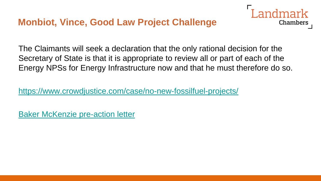### **Monbiot, Vince, Good Law Project Challenge**



The Claimants will seek a declaration that the only rational decision for the Secretary of State is that it is appropriate to review all or part of each of the Energy NPSs for Energy Infrastructure now and that he must therefore do so.

<https://www.crowdjustice.com/case/no-new-fossilfuel-projects/>

[Baker McKenzie pre-action letter](https://www.dropbox.com/s/hvzi5xik19dc7t7/Letter Before Claim Energy NPS.PDF?dl=0)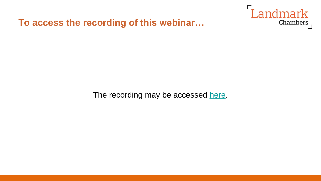**To access the recording of this webinar…**



The recording may be accessed [here.](https://youtu.be/5U4Im16McGE)